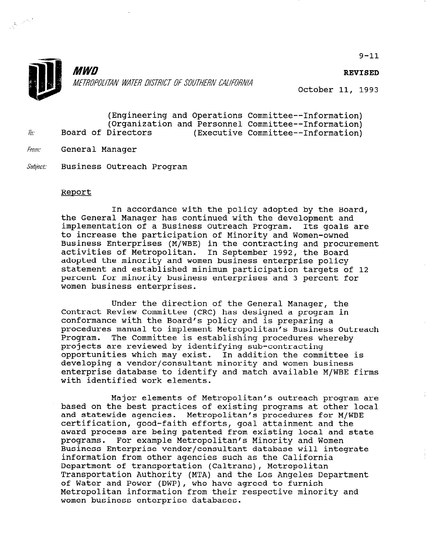

'

**MWD** METROPOLITAN WATER DISTRICT OF SOUTHERN CALIFORNIA

REVISED

October 11, 1993

|     |  |                    |  | (Engineering and Operations Committee--Information) |
|-----|--|--------------------|--|-----------------------------------------------------|
|     |  |                    |  | (Organization and Personnel Committee--Information) |
| To: |  | Board of Directors |  | (Executive Committee--Information)                  |

- From: General Manager
- Subject: Business Outreach Program

## Report

In accordance with the policy adopted by the Board, the General Manager has continued with the development and implementation of a Business Outreach Program. Its goals are to increase the participation of Minority and Women-owned Business Enterprises (M/WBE) in the contracting and procurement activities of Metropolitan. In September 1992, the Board adopted the minority and women business enterprise policy statement and established minimum participation targets of 12 percent for minority business enterprises and 3 percent for women business enterprises.

Under the direction of the General Manager, the Contract Review Committee (CRC) has designed a program in conformance with the Board's policy and is preparing a procedures manual to implement Metropolitan's Business Outreach Program. The Committee is establishing procedures whereby projects are reviewed by identifying sub-contracting opportunities which may exist. In addition the committee is developing a vendor/consultant minority and women business enterprise database to identify and match available M/WBE firms with identified work elements.

Major elements of Metropolitan's outreach program are based on the base programs of the programs of existing programs at other local based on the best practices of existing programs at other local and statewide agencies. Metropolitan's procedures for M/WBE certification, good-faith efforts, goal attainment and the award process are being patented from existing local and state programs. For example Metropolitan's Minority and Women For example Metropolitan's Minority and Women Business Enterprise vendor/consultant database will integrate information from other agencies such as the California Department of transportation (Caltrans), Metropolitan Transportation Authority (MTA) and the Los Angeles Department<br>of Water and Power (DWP), who have agreed to furnish of water and Power (DWP), who have agreed to furnish<br>respectively metropolitan information from thei

 $9 - 11$